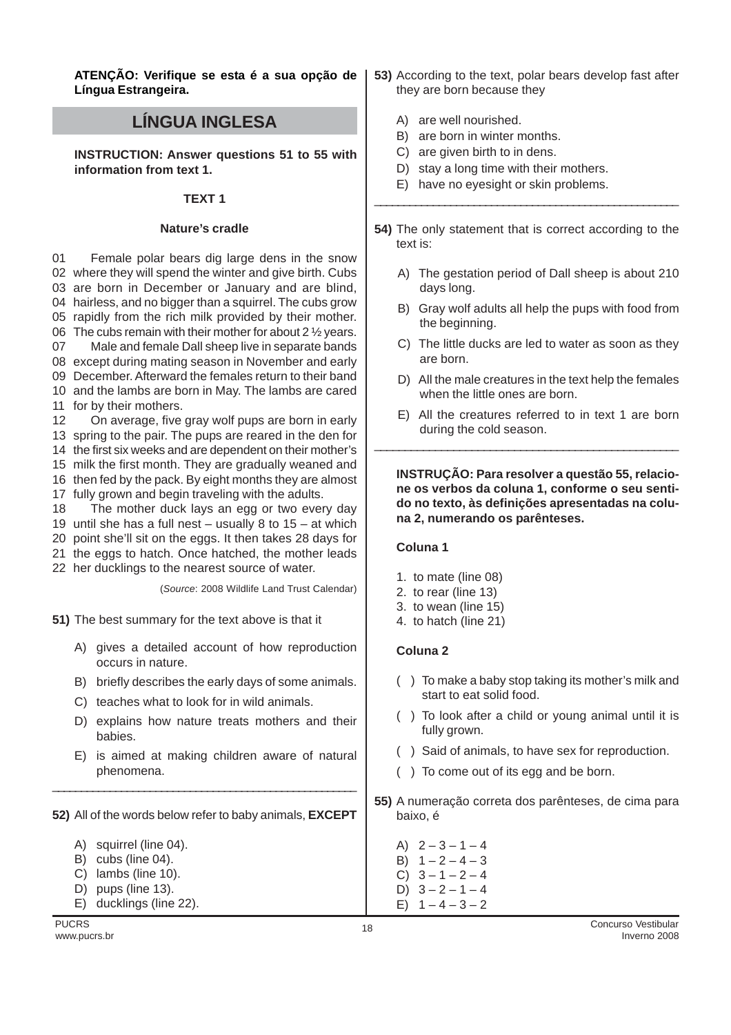**ATENÇÃO: Verifique se esta é a sua opção de Língua Estrangeira.**

# **LÍNGUA INGLESA**

**INSTRUCTION: Answer questions 51 to 55 with information from text 1.**

#### **TEXT 1**

#### **Nature's cradle**

01 where they will spend the winter and give birth. Cubs are born in December or January and are blind, hairless, and no bigger than a squirrel. The cubs grow rapidly from the rich milk provided by their mother. The cubs remain with their mother for about 2 ½ years. 07 except during mating season in November and early December. Afterward the females return to their band and the lambs are born in May. The lambs are cared for by their mothers. 12 spring to the pair. The pups are reared in the den for Female polar bears dig large dens in the snow Male and female Dall sheep live in separate bands On average, five gray wolf pups are born in early

14 the first six weeks and are dependent on their mother's

15 milk the first month. They are gradually weaned and 16 then fed by the pack. By eight months they are almost

- 17 fully grown and begin traveling with the adults.
- 18 The mother duck lays an egg or two every day
- 19 until she has a full nest usually 8 to 15 at which
- 20 point she'll sit on the eggs. It then takes 28 days for
- 21 the eggs to hatch. Once hatched, the mother leads
- 22 her ducklings to the nearest source of water.

(*Source*: 2008 Wildlife Land Trust Calendar)

**51)** The best summary for the text above is that it

- A) gives a detailed account of how reproduction occurs in nature.
- B) briefly describes the early days of some animals.
- C) teaches what to look for in wild animals.
- D) explains how nature treats mothers and their babies.
- E) is aimed at making children aware of natural phenomena.

#### **52)** All of the words below refer to baby animals, **EXCEPT**

\_\_\_\_\_\_\_\_\_\_\_\_\_\_\_\_\_\_\_\_\_\_\_\_\_\_\_\_\_\_\_\_\_\_\_\_\_\_\_\_\_\_\_\_\_\_\_\_\_\_\_\_\_

- A) squirrel (line 04).
- B) cubs (line 04).
- C) lambs (line 10).
- D) pups (line 13).
- E) ducklings (line 22).
- **53)** According to the text, polar bears develop fast after they are born because they
	- A) are well nourished.
	- B) are born in winter months.
	- C) are given birth to in dens.
	- D) stay a long time with their mothers.
	- E) have no eyesight or skin problems.
- **54)** The only statement that is correct according to the text is:

\_\_\_\_\_\_\_\_\_\_\_\_\_\_\_\_\_\_\_\_\_\_\_\_\_\_\_\_\_\_\_\_\_\_\_\_\_\_\_\_\_\_\_\_\_\_\_\_\_\_\_\_

- A) The gestation period of Dall sheep is about 210 days long.
- B) Gray wolf adults all help the pups with food from the beginning.
- C) The little ducks are led to water as soon as they are born.
- D) All the male creatures in the text help the females when the little ones are born.
- E) All the creatures referred to in text 1 are born during the cold season.

\_\_\_\_\_\_\_\_\_\_\_\_\_\_\_\_\_\_\_\_\_\_\_\_\_\_\_\_\_\_\_\_\_\_\_\_\_\_\_\_\_\_\_\_\_\_\_\_\_\_

**INSTRUÇÃO: Para resolver a questão 55, relacione os verbos da coluna 1, conforme o seu sentido no texto, às definições apresentadas na coluna 2, numerando os parênteses.**

## **Coluna 1**

- 1. to mate (line 08)
- 2. to rear (line 13)
- 3. to wean (line 15)
- 4. to hatch (line 21)

## **Coluna 2**

- ( ) To make a baby stop taking its mother's milk and start to eat solid food.
- ( ) To look after a child or young animal until it is fully grown.
- ( ) Said of animals, to have sex for reproduction.
- ( ) To come out of its egg and be born.
- **55)** A numeração correta dos parênteses, de cima para baixo, é

A)  $2 - 3 - 1 - 4$ B)  $1 - 2 - 4 - 3$ C)  $3 - 1 - 2 - 4$ 

D)  $3 - 2 - 1 - 4$ E)  $1 - 4 - 3 - 2$